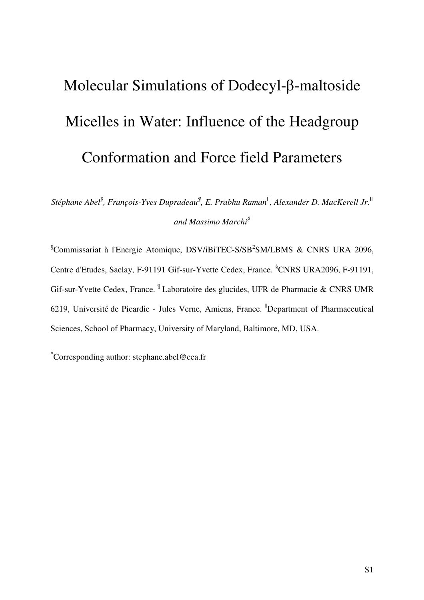## Molecular Simulations of Dodecyl-β-maltoside Micelles in Water: Influence of the Headgroup Conformation and Force field Parameters

*Stéphane Abel§ , François-Yves Dupradeau¶ , E. Prabhu Raman||, Alexander D. MacKerell Jr.|| and Massimo Marchi§* 

 $\S$ Commissariat à l'Energie Atomique, DSV/iBiTEC-S/SB<sup>2</sup>SM/LBMS & CNRS URA 2096, Centre d'Etudes, Saclay, F-91191 Gif-sur-Yvette Cedex, France. §CNRS URA2096, F-91191, Gif-sur-Yvette Cedex, France. ¶ Laboratoire des glucides, UFR de Pharmacie & CNRS UMR 6219, Université de Picardie - Jules Verne, Amiens, France. <sup>"</sup>Department of Pharmaceutical Sciences, School of Pharmacy, University of Maryland, Baltimore, MD, USA.

\*Corresponding author: stephane.abel@cea.fr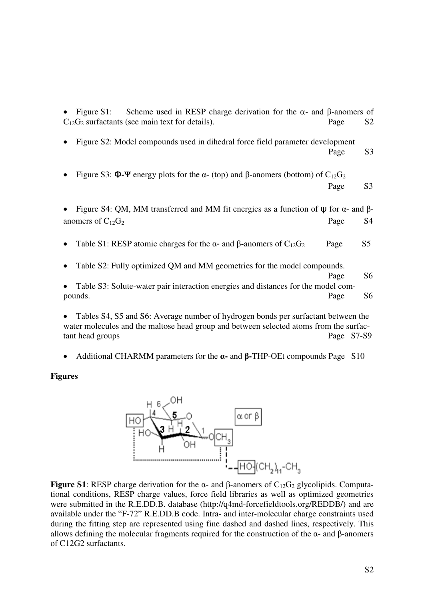| Scheme used in RESP charge derivation for the $\alpha$ - and $\beta$ -anomers of<br>Figure S1:<br>$\bullet$<br>$C_{12}G_2$ surfactants (see main text for details). | Page                            | S2             |
|---------------------------------------------------------------------------------------------------------------------------------------------------------------------|---------------------------------|----------------|
| Figure S2: Model compounds used in dihedral force field parameter development                                                                                       | Page                            | S3             |
| Figure S3: $\Phi$ - $\Psi$ energy plots for the $\alpha$ - (top) and $\beta$ -anomers (bottom) of C <sub>12</sub> G <sub>2</sub>                                    | Page                            | S <sub>3</sub> |
|                                                                                                                                                                     |                                 |                |
| Figure S4: QM, MM transferred and MM fit energies as a function of $\psi$ for $\alpha$ - and $\beta$ -                                                              |                                 |                |
| anomers of $C_{12}G_2$                                                                                                                                              | Page                            | S4             |
| Table S1: RESP atomic charges for the $\alpha$ - and $\beta$ -anomers of C <sub>12</sub> G <sub>2</sub>                                                             | Page                            | S <sub>5</sub> |
| Table S2: Fully optimized QM and MM geometries for the model compounds.                                                                                             |                                 |                |
|                                                                                                                                                                     | Page                            | S6             |
| Table S3: Solute-water pair interaction energies and distances for the model com-                                                                                   |                                 |                |
| pounds.                                                                                                                                                             | Page                            | S6             |
| $\mathbf{1}$ $\mathbf{1}$ $\mathbf{1}$ $\mathbf{1}$ $\mathbf{1}$ $\mathbf{1}$<br>T 11 0107<br>$\sim$ 1 $\sim$ 6 $\sim$ 1                                            | $\mathcal{C}$ and $\mathcal{C}$ |                |

Tables S4, S5 and S6: Average number of hydrogen bonds per surfactant between the water molecules and the maltose head group and between selected atoms from the surfactant head groups Page S7-S9

• Additional CHARMM parameters for the α**-** and β**-**THP-OEt compounds Page S10

**Figures** 



**Figure S1**: RESP charge derivation for the α- and β-anomers of  $C_{12}G_2$  glycolipids. Computational conditions, RESP charge values, force field libraries as well as optimized geometries were submitted in the R.E.DD.B. database (http://q4md-forcefieldtools.org/REDDB/) and are available under the "F-72" R.E.DD.B code. Intra- and inter-molecular charge constraints used during the fitting step are represented using fine dashed and dashed lines, respectively. This allows defining the molecular fragments required for the construction of the α- and β-anomers of C12G2 surfactants.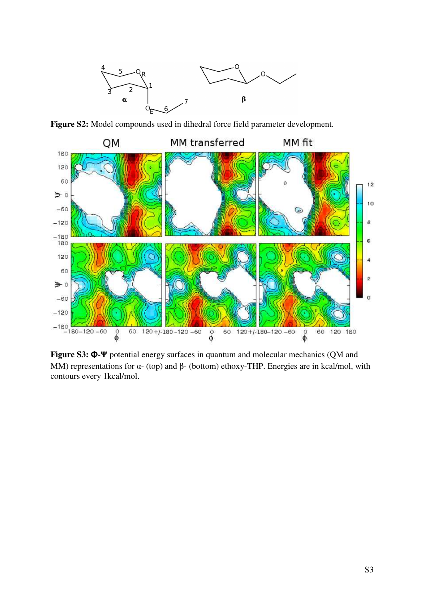

Figure S2: Model compounds used in dihedral force field parameter development.



**Figure S3:** Φ**-**Ψ potential energy surfaces in quantum and molecular mechanics (QM and MM) representations for  $\alpha$ - (top) and  $\beta$ - (bottom) ethoxy-THP. Energies are in kcal/mol, with contours every 1kcal/mol.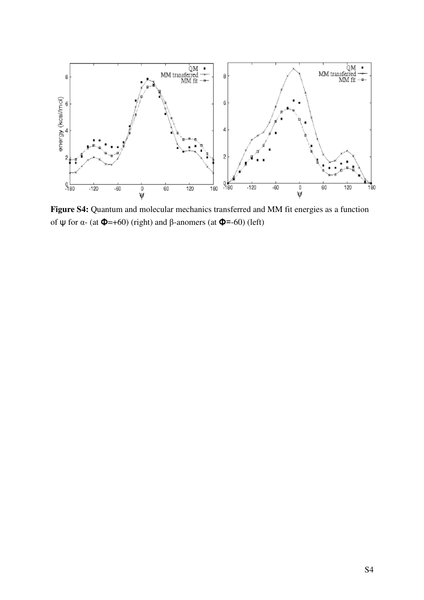

Figure S4: Quantum and molecular mechanics transferred and MM fit energies as a function of  $\psi$  for α- (at  $\Phi$ =+60) (right) and β-anomers (at  $\Phi$ =-60) (left)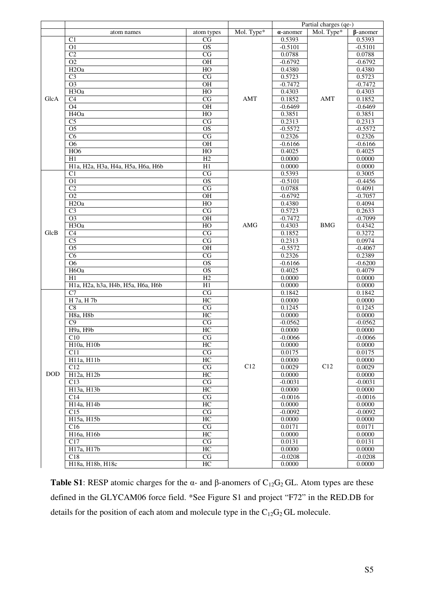|            |                                   |                        |            |                  | Partial charges (qe-) |                 |
|------------|-----------------------------------|------------------------|------------|------------------|-----------------------|-----------------|
|            | atom names                        | atom types             | Mol. Type* | $\alpha$ -anomer | Mol. Type*            | $\beta$ -anomer |
|            | C <sub>1</sub>                    | CG                     |            | 0.5393           |                       | 0.5393          |
|            | $\overline{O1}$                   | $\overline{OS}$        |            | $-0.5101$        |                       | $-0.5101$       |
|            | C <sub>2</sub>                    | $\mathbf{CG}$          |            | 0.0788           |                       | 0.0788          |
|            | O <sub>2</sub>                    | $\overline{OH}$        |            | $-0.6792$        |                       | $-0.6792$       |
|            | H <sub>2</sub> Oa                 | HO                     |            | 0.4380           |                       | 0.4380          |
|            | $\overline{C}3$                   | $\overline{\text{CG}}$ |            | 0.5723           |                       | 0.5723          |
|            | $\overline{O3}$                   | $\rm OH$               |            | $-0.7472$        |                       | $-0.7472$       |
| GlcA       | H <sub>3</sub> Oa                 | HO                     |            | 0.4303           |                       | 0.4303          |
|            | $\overline{C4}$                   | $\overline{\text{CG}}$ | AMT        | 0.1852           | AMT                   | 0.1852          |
|            | O <sub>4</sub>                    | $\overline{OH}$        |            | $-0.6469$        |                       | $-0.6469$       |
|            | H <sub>4</sub> Oa                 | HO                     |            | 0.3851           |                       | 0.3851          |
|            | $\overline{C}$                    | $\overline{\text{CG}}$ |            | 0.2313           |                       | 0.2313          |
|            | $\overline{O5}$                   | $\overline{OS}$        |            | $-0.5572$        |                       | $-0.5572$       |
|            | C6                                | CG                     |            | 0.2326           |                       | 0.2326          |
|            | O <sub>6</sub>                    | OH                     |            | $-0.6166$        |                       | $-0.6166$       |
|            | HO <sub>6</sub>                   | HO                     |            | 0.4025           |                       | 0.4025          |
|            | H1                                | H2                     |            | 0.0000           |                       | 0.0000          |
|            | H1a, H2a, H3a, H4a, H5a, H6a, H6b | H1                     |            | 0.0000           |                       | 0.0000          |
|            | C <sub>1</sub>                    | $\overline{\text{CG}}$ |            | 0.5393           |                       | 0.3005          |
|            | $\overline{O1}$                   | $\overline{OS}$        |            | $-0.5101$        |                       | $-0.4456$       |
|            | $\overline{C2}$                   | $\overline{\text{CG}}$ |            | 0.0788           |                       | 0.4091          |
|            | $\overline{O2}$                   | OH                     |            | $-0.6792$        | <b>BMG</b>            | $-0.7057$       |
|            | H <sub>2</sub> Oa                 | HO                     |            | 0.4380           |                       | 0.4094          |
|            | C <sub>3</sub>                    | CG                     |            | 0.5723           |                       | 0.2633          |
|            | O <sub>3</sub>                    | <b>OH</b>              |            | $-0.7472$        |                       | $-0.7099$       |
|            | H <sub>3</sub> Oa                 | HO                     | AMG        | 0.4303           |                       | 0.4342          |
| GlcB       | C <sub>4</sub>                    | $\overline{\text{CG}}$ |            | 0.1852           |                       | 0.3272          |
|            | $\overline{\text{C5}}$            | $\overline{\text{CG}}$ |            | 0.2313           |                       | 0.0974          |
|            | $\overline{O5}$                   | $\overline{OH}$        |            | $-0.5572$        |                       | $-0.4067$       |
|            | $\overline{\text{C6}}$            | $\overline{\text{CG}}$ |            | 0.2326           |                       | 0.2389          |
|            | $\overline{06}$                   | $\overline{OS}$        |            | $-0.6166$        |                       | $-0.6200$       |
|            | H <sub>6</sub> Oa                 | $\overline{OS}$        |            | 0.4025           |                       | 0.4079          |
|            | H1                                | H2                     |            | 0.0000           |                       | 0.0000          |
|            | H1a, H2a, h3a, H4b, H5a, H6a, H6b | H1                     |            | 0.0000           |                       | 0.0000          |
|            | C <sub>7</sub>                    | $\overline{\text{CG}}$ |            | 0.1842           |                       | 0.1842          |
|            | H 7a, H 7b                        | HC                     |            | 0.0000           |                       | 0.0000          |
|            | $\overline{C8}$                   | $\overline{\text{CG}}$ |            | 0.1245           |                       | 0.1245          |
|            | H8a, H8b                          | HC                     |            | 0.0000           |                       | 0.0000          |
|            | $\overline{C9}$                   | CG                     |            | $-0.0562$        |                       | $-0.0562$       |
|            | H9a, H9b                          | HC                     |            | 0.0000           |                       | 0.0000          |
|            | C10                               | $\overline{\text{CG}}$ |            | $-0.0066$        |                       | $-0.0066$       |
|            | H10a, H10b                        | $\rm HC$               |            | 0.0000           |                       | 0.0000          |
|            | C11                               | $\rm{CG}$              |            | 0.0175           |                       | 0.0175          |
|            | H11a, H11b                        | HC                     |            | 0.0000           |                       | 0.0000          |
|            | C12                               | $\rm{CG}$              | C12        | 0.0029           | C12                   | 0.0029          |
| <b>DOD</b> | $\overline{H12a}$ , $H12b$        | HC                     |            | 0.0000           |                       | 0.0000          |
|            | C13                               | CG                     |            | $-0.0031$        |                       | $-0.0031$       |
|            | H13a, H13b                        | HC                     |            | 0.0000           |                       | 0.0000          |
|            | C14                               | CG                     |            | $-0.0016$        |                       | $-0.0016$       |
|            | H14a, H14b                        | HC                     |            | 0.0000           |                       | 0.0000          |
|            | $\overline{C15}$                  | CG                     |            | $-0.0092$        |                       | $-0.0092$       |
|            | H15a, H15b                        | HC                     |            | 0.0000           |                       | 0.0000          |
|            | C16                               | CG                     |            | 0.0171           |                       | 0.0171          |
|            | H16a, H16b                        | HC                     |            | 0.0000           |                       | 0.0000          |
|            | C17                               | $\rm{CG}$              |            | 0.0131           |                       | 0.0131          |
|            | H17a, H17b                        | HC                     |            | 0.0000           |                       | 0.0000          |
|            | C18                               | CG                     |            | $-0.0208$        |                       | $-0.0208$       |
|            | H18a, H18b, H18c                  | HC                     |            | 0.0000           |                       | 0.0000          |

**Table S1**: RESP atomic charges for the α- and β-anomers of  $C_{12}G_2$  GL. Atom types are these defined in the GLYCAM06 force field. \*See Figure S1 and project "F72" in the RED.DB for details for the position of each atom and molecule type in the  $C_{12}G_2$  GL molecule.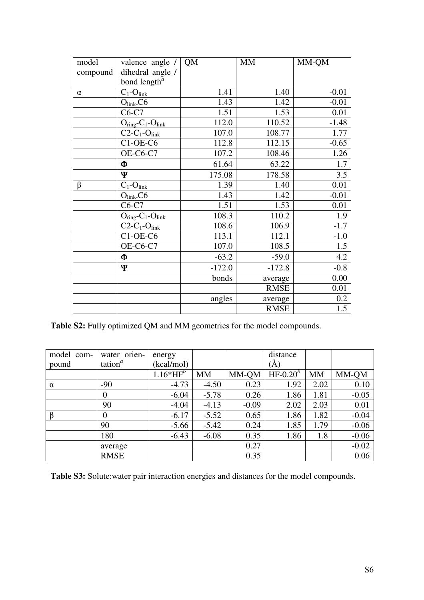| model    | valence angle /                       | <b>QM</b> | <b>MM</b>   | MM-QM   |
|----------|---------------------------------------|-----------|-------------|---------|
| compound | dihedral angle /                      |           |             |         |
|          | bond length <sup><math>a</math></sup> |           |             |         |
| $\alpha$ | $C_1$ - $O_{\text{link}}$             | 1.41      | 1.40        | $-0.01$ |
|          | $O_{link}$ $C6$                       | 1.43      | 1.42        | $-0.01$ |
|          | $C6-C7$                               | 1.51      | 1.53        | 0.01    |
|          | $O_{ring}$ - $C_1$ - $O_{link}$       | 112.0     | 110.52      | $-1.48$ |
|          | $C2-C_1-O_{link}$                     | 107.0     | 108.77      | 1.77    |
|          | $C1-OE-C6$                            | 112.8     | 112.15      | $-0.65$ |
|          | OE-C6-C7                              | 107.2     | 108.46      | 1.26    |
|          | Φ                                     | 61.64     | 63.22       | 1.7     |
|          | Ψ                                     | 175.08    | 178.58      | 3.5     |
| β        | $C_1$ - $O$ <sub>link</sub>           | 1.39      | 1.40        | 0.01    |
|          | $O_{link}$ -C6                        | 1.43      | 1.42        | $-0.01$ |
|          | $C6-C7$                               | 1.51      | 1.53        | 0.01    |
|          | $O_{ring}$ - $C_1$ - $O_{link}$       | 108.3     | 110.2       | 1.9     |
|          | $C2-C_1-O_{link}$                     | 108.6     | 106.9       | $-1.7$  |
|          | $C1-OE-C6$                            | 113.1     | 112.1       | $-1.0$  |
|          | OE-C6-C7                              | 107.0     | 108.5       | 1.5     |
|          | Φ                                     | $-63.2$   | $-59.0$     | 4.2     |
|          | Ψ                                     | $-172.0$  | $-172.8$    | $-0.8$  |
|          |                                       | bonds     | average     | 0.00    |
|          |                                       |           | <b>RMSE</b> | 0.01    |
|          |                                       | angles    | average     | 0.2     |
|          |                                       |           | <b>RMSE</b> | 1.5     |

**Table S2:** Fully optimized QM and MM geometries for the model compounds.

| model com- | water orien- | energy      |           |         | distance     |           |         |
|------------|--------------|-------------|-----------|---------|--------------|-----------|---------|
| pound      | tation $^a$  | (kcal/mol)  |           |         | (Ă)          |           |         |
|            |              | $1.16*HF^b$ | <b>MM</b> | MM-QM   | HF- $0.20^b$ | <b>MM</b> | MM-QM   |
| $\alpha$   | $-90$        | $-4.73$     | $-4.50$   | 0.23    | 1.92         | 2.02      | 0.10    |
|            | 0            | $-6.04$     | $-5.78$   | 0.26    | 1.86         | 1.81      | $-0.05$ |
|            | 90           | $-4.04$     | $-4.13$   | $-0.09$ | 2.02         | 2.03      | 0.01    |
| $\beta$    | $\Omega$     | $-6.17$     | $-5.52$   | 0.65    | 1.86         | 1.82      | $-0.04$ |
|            | 90           | $-5.66$     | $-5.42$   | 0.24    | 1.85         | 1.79      | $-0.06$ |
|            | 180          | $-6.43$     | $-6.08$   | 0.35    | 1.86         | 1.8       | $-0.06$ |
|            | average      |             |           | 0.27    |              |           | $-0.02$ |
|            | <b>RMSE</b>  |             |           | 0.35    |              |           | 0.06    |

**Table S3:** Solute:water pair interaction energies and distances for the model compounds.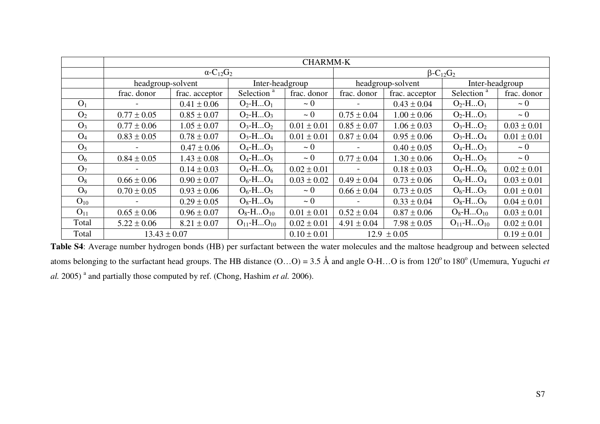|                | <b>CHARMM-K</b>   |                                         |                        |                 |                   |                 |                        |                 |
|----------------|-------------------|-----------------------------------------|------------------------|-----------------|-------------------|-----------------|------------------------|-----------------|
|                |                   | $\beta$ -C <sub>12</sub> G <sub>2</sub> |                        |                 |                   |                 |                        |                 |
|                | headgroup-solvent | Inter-headgroup                         |                        |                 | headgroup-solvent | Inter-headgroup |                        |                 |
|                | frac. donor       | frac. acceptor                          | Selection <sup>a</sup> | frac. donor     | frac. donor       | frac. acceptor  | Selection <sup>a</sup> | frac. donor     |
| O <sub>1</sub> |                   | $0.41 \pm 0.06$                         | $O_2$ -H $O_1$         | $\sim 0$        |                   | $0.43 \pm 0.04$ | $O_2$ -H $O_1$         | $\sim 0$        |
| O <sub>2</sub> | $0.77 \pm 0.05$   | $0.85 \pm 0.07$                         | $O_2$ -H $O_3$         | $\sim 0$        | $0.75 \pm 0.04$   | $1.00 \pm 0.06$ | $O_2$ -H $O_3$         | $\sim 0$        |
| $O_3$          | $0.77 \pm 0.06$   | $1.05 \pm 0.07$                         | $O_3$ -H $O_2$         | $0.01 \pm 0.01$ | $0.85 \pm 0.07$   | $1.06 \pm 0.03$ | $O_3$ -H $O_2$         | $0.03 \pm 0.01$ |
| $O_4$          | $0.83 \pm 0.05$   | $0.78 \pm 0.07$                         | $O_3$ -H $O_4$         | $0.01 \pm 0.01$ | $0.87 \pm 0.04$   | $0.95 \pm 0.06$ | $O_3$ -H $O_4$         | $0.01 \pm 0.01$ |
| O <sub>5</sub> |                   | $0.47 \pm 0.06$                         | $O_4$ -H $O_3$         | $\sim 0$        |                   | $0.40 \pm 0.05$ | $O_4$ -H $O_3$         | $\sim 0$        |
| O <sub>6</sub> | $0.84 \pm 0.05$   | $1.43 \pm 0.08$                         | $O_4$ -H $O_5$         | $\sim 0$        | $0.77 \pm 0.04$   | $1.30 \pm 0.06$ | $O_4$ -H $O_5$         | $\sim 0$        |
| O <sub>7</sub> |                   | $0.14 \pm 0.03$                         | $O_4$ -H $O_6$         | $0.02 \pm 0.01$ |                   | $0.18 \pm 0.03$ | $O_4$ -H $O_6$         | $0.02 \pm 0.01$ |
| $O_8$          | $0.66 \pm 0.06$   | $0.90 \pm 0.07$                         | $O_6$ -H $O_4$         | $0.03 \pm 0.02$ | $0.49 \pm 0.04$   | $0.73 \pm 0.06$ | $O_6$ -H $O_4$         | $0.03 \pm 0.01$ |
| O <sub>9</sub> | $0.70 \pm 0.05$   | $0.93 \pm 0.06$                         | $O_6$ -H $O_5$         | $\sim 0$        | $0.66 \pm 0.04$   | $0.73 \pm 0.05$ | $O_6$ -H $O_5$         | $0.01 \pm 0.01$ |
| $O_{10}$       |                   | $0.29 \pm 0.05$                         | $O_8$ -H $O_9$         | $\sim 0$        |                   | $0.33 \pm 0.04$ | $O_8$ -H $O_9$         | $0.04 \pm 0.01$ |
| $O_{11}$       | $0.65 \pm 0.06$   | $0.96 \pm 0.07$                         | $O_8$ -H $O_{10}$      | $0.01 \pm 0.01$ | $0.52 \pm 0.04$   | $0.87 \pm 0.06$ | $O_8$ -H $O_{10}$      | $0.03 \pm 0.01$ |
| Total          | $5.22 \pm 0.06$   | $8.21 \pm 0.07$                         | $O_{11}$ -H $O_{10}$   | $0.02 \pm 0.01$ | $4.91 \pm 0.04$   | $7.98 \pm 0.05$ | $O_{11}$ -H $O_{10}$   | $0.02 \pm 0.01$ |
| Total          | $13.43 \pm 0.07$  |                                         |                        | $0.10 \pm 0.01$ |                   | $12.9 \pm 0.05$ |                        | $0.19 \pm 0.01$ |

**Table S4**: Average number hydrogen bonds (HB) per surfactant between the water molecules and the maltose headgroup and between selected atoms belonging to the surfactant head groups. The HB distance  $(O...O) = 3.5 \text{ Å}$  and angle O-H…O is from  $120^{\circ}$  to  $180^{\circ}$  (Umemura, Yuguchi *et al.* 2005)<sup>a</sup> and partially those computed by ref. (Chong, Hashim *et al.* 2006).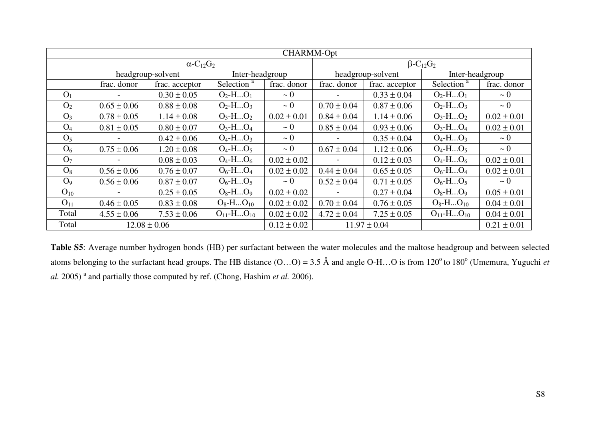|                | CHARMM-Opt        |                                          |                        |                 |                                         |                   |                        |                 |
|----------------|-------------------|------------------------------------------|------------------------|-----------------|-----------------------------------------|-------------------|------------------------|-----------------|
|                |                   | $\alpha$ -C <sub>12</sub> G <sub>2</sub> |                        |                 | $\beta$ -C <sub>12</sub> G <sub>2</sub> |                   |                        |                 |
|                | headgroup-solvent |                                          | Inter-headgroup        |                 |                                         | headgroup-solvent | Inter-headgroup        |                 |
|                | frac. donor       | frac. acceptor                           | Selection <sup>a</sup> | frac. donor     | frac. donor                             | frac. acceptor    | Selection <sup>a</sup> | frac. donor     |
| O <sub>1</sub> |                   | $0.30 \pm 0.05$                          | $O_2$ -H $O_1$         | $\sim 0$        |                                         | $0.33 \pm 0.04$   | $O_2$ -H $O_1$         | $\sim 0$        |
| O <sub>2</sub> | $0.65 \pm 0.06$   | $0.88 \pm 0.08$                          | $O_2$ -H $O_3$         | $\sim 0$        | $0.70 \pm 0.04$                         | $0.87 \pm 0.06$   | $O_2$ -H $O_3$         | $\sim 0$        |
| $O_3$          | $0.78 \pm 0.05$   | $1.14 \pm 0.08$                          | $O_3$ -H $O_2$         | $0.02 \pm 0.01$ | $0.84 \pm 0.04$                         | $1.14 \pm 0.06$   | $O_3$ -H $O_2$         | $0.02 \pm 0.01$ |
| $O_4$          | $0.81 \pm 0.05$   | $0.80 \pm 0.07$                          | $O_3$ -H $O_4$         | $\sim 0$        | $0.85 \pm 0.04$                         | $0.93 \pm 0.06$   | $O_3$ -H $O_4$         | $0.02 \pm 0.01$ |
| O <sub>5</sub> |                   | $0.42 \pm 0.06$                          | $O_4$ -H $O_3$         | $\sim 0$        |                                         | $0.35 \pm 0.04$   | $O_4$ -H $O_3$         | $\sim 0$        |
| O <sub>6</sub> | $0.75 \pm 0.06$   | $1.20 \pm 0.08$                          | $O_4$ -H $O_5$         | $\sim 0$        | $0.67 \pm 0.04$                         | $1.12 \pm 0.06$   | $O_4$ -H $O_5$         | $\sim 0$        |
| O <sub>7</sub> |                   | $0.08 \pm 0.03$                          | $O_4$ -H $O_6$         | $0.02 \pm 0.02$ |                                         | $0.12 \pm 0.03$   | $O_4$ -H $O_6$         | $0.02 \pm 0.01$ |
| $O_8$          | $0.56 \pm 0.06$   | $0.76 \pm 0.07$                          | $O_6$ -H $O_4$         | $0.02 \pm 0.02$ | $0.44 \pm 0.04$                         | $0.65 \pm 0.05$   | $O_6$ -H $O_4$         | $0.02 \pm 0.01$ |
| O <sub>9</sub> | $0.56 \pm 0.06$   | $0.87 \pm 0.07$                          | $O_6$ -H $O_5$         | $\sim 0$        | $0.52 \pm 0.04$                         | $0.71 \pm 0.05$   | $O_6$ -H $O_5$         | $\sim 0$        |
| $O_{10}$       |                   | $0.25 \pm 0.05$                          | $O_8$ -H $O_9$         | $0.02 \pm 0.02$ |                                         | $0.27 \pm 0.04$   | $O_8$ -H $O_9$         | $0.05 \pm 0.01$ |
| $O_{11}$       | $0.46 \pm 0.05$   | $0.83 \pm 0.08$                          | $O_8$ -H $O_{10}$      | $0.02 \pm 0.02$ | $0.70 \pm 0.04$                         | $0.76 \pm 0.05$   | $O_8$ -H $O_{10}$      | $0.04 \pm 0.01$ |
| Total          | $4.55 \pm 0.06$   | $7.53 \pm 0.06$                          | $O_{11}$ -H $O_{10}$   | $0.02 \pm 0.02$ | $4.72 \pm 0.04$                         | $7.25 \pm 0.05$   | $O_{11}$ -H $O_{10}$   | $0.04 \pm 0.01$ |
| Total          | $12.08 \pm 0.06$  |                                          |                        | $0.12 \pm 0.02$ |                                         | $11.97 \pm 0.04$  |                        | $0.21 \pm 0.01$ |

**Table S5**: Average number hydrogen bonds (HB) per surfactant between the water molecules and the maltose headgroup and between selected atoms belonging to the surfactant head groups. The HB distance  $(O...O) = 3.5 \text{ Å}$  and angle O-H…O is from  $120^{\circ}$  to  $180^{\circ}$  (Umemura, Yuguchi *et al.* 2005)<sup>a</sup> and partially those computed by ref. (Chong, Hashim *et al.* 2006).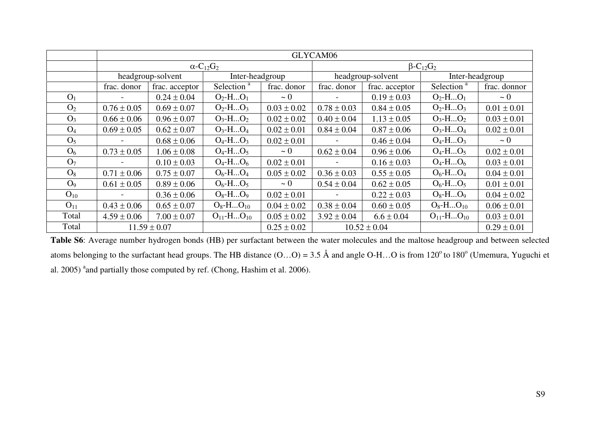|                |                  |                   |                                          |                 | GLYCAM06                                |                   |                        |                 |  |
|----------------|------------------|-------------------|------------------------------------------|-----------------|-----------------------------------------|-------------------|------------------------|-----------------|--|
|                |                  |                   | $\alpha$ -C <sub>12</sub> G <sub>2</sub> |                 | $\beta$ -C <sub>12</sub> G <sub>2</sub> |                   |                        |                 |  |
|                |                  | headgroup-solvent | Inter-headgroup                          |                 |                                         | headgroup-solvent |                        | Inter-headgroup |  |
|                | frac. donor      | frac. acceptor    | Selection <sup>a</sup>                   | frac. donor     | frac. donor                             | frac. acceptor    | Selection <sup>a</sup> | frac. donnor    |  |
| O <sub>1</sub> |                  | $0.24 \pm 0.04$   | $O_2$ -H $O_1$                           | $\sim 0$        |                                         | $0.19 \pm 0.03$   | $O_2$ -H $O_1$         | $\sim 0$        |  |
| O <sub>2</sub> | $0.76 \pm 0.05$  | $0.69 \pm 0.07$   | $O_2$ -H $O_3$                           | $0.03 \pm 0.02$ | $0.78 \pm 0.03$                         | $0.84 \pm 0.05$   | $O_2$ -H $O_3$         | $0.01 \pm 0.01$ |  |
| $O_3$          | $0.66 \pm 0.06$  | $0.96 \pm 0.07$   | $O_3$ -H $O_2$                           | $0.02 \pm 0.02$ | $0.40 \pm 0.04$                         | $1.13 \pm 0.05$   | $O_3$ -H $O_2$         | $0.03 \pm 0.01$ |  |
| $O_4$          | $0.69 \pm 0.05$  | $0.62 \pm 0.07$   | $O_3$ -H $O_4$                           | $0.02 \pm 0.01$ | $0.84 \pm 0.04$                         | $0.87 \pm 0.06$   | $O_3$ -H $O_4$         | $0.02 \pm 0.01$ |  |
| O <sub>5</sub> |                  | $0.68 \pm 0.06$   | $O_4$ -H $O_3$                           | $0.02 \pm 0.01$ |                                         | $0.46 \pm 0.04$   | $O_4$ -H $O_3$         | $\sim 0$        |  |
| O <sub>6</sub> | $0.73 \pm 0.05$  | $1.06 \pm 0.08$   | $O_4$ -H $O_5$                           | $\sim 0$        | $0.62 \pm 0.04$                         | $0.96 \pm 0.06$   | $O_4$ -H $O_5$         | $0.02 \pm 0.01$ |  |
| O <sub>7</sub> |                  | $0.10 \pm 0.03$   | $O_4$ -H $O_6$                           | $0.02 \pm 0.01$ |                                         | $0.16 \pm 0.03$   | $O_4$ -H $O_6$         | $0.03 \pm 0.01$ |  |
| $O_8$          | $0.71 \pm 0.06$  | $0.75 \pm 0.07$   | $O_6$ -H $O_4$                           | $0.05 \pm 0.02$ | $0.36 \pm 0.03$                         | $0.55 \pm 0.05$   | $O_6$ -H $O_4$         | $0.04 \pm 0.01$ |  |
| O <sub>9</sub> | $0.61 \pm 0.05$  | $0.89 \pm 0.06$   | $O_6$ -H $O_5$                           | $\sim 0$        | $0.54 \pm 0.04$                         | $0.62 \pm 0.05$   | $O_6$ -H $O_5$         | $0.01 \pm 0.01$ |  |
| $O_{10}$       |                  | $0.36 \pm 0.06$   | $O_8$ -H $O_9$                           | $0.02 \pm 0.01$ |                                         | $0.22 \pm 0.03$   | $O_8$ -H $O_9$         | $0.04 \pm 0.02$ |  |
| $O_{11}$       | $0.43 \pm 0.06$  | $0.65 \pm 0.07$   | $O_8$ -H $O_{10}$                        | $0.04 \pm 0.02$ | $0.38 \pm 0.04$                         | $0.60 \pm 0.05$   | $O_8$ -H $O_{10}$      | $0.06 \pm 0.01$ |  |
| Total          | $4.59 \pm 0.06$  | $7.00 \pm 0.07$   | $O_{11}$ -H $O_{10}$                     | $0.05 \pm 0.02$ | $3.92 \pm 0.04$                         | $6.6 \pm 0.04$    | $O_{11}$ -H $O_{10}$   | $0.03 \pm 0.01$ |  |
| Total          | $11.59 \pm 0.07$ |                   |                                          | $0.25 \pm 0.02$ |                                         | $10.52 \pm 0.04$  |                        | $0.29 \pm 0.01$ |  |

**Table S6**: Average number hydrogen bonds (HB) per surfactant between the water molecules and the maltose headgroup and between selected atoms belonging to the surfactant head groups. The HB distance  $(O...O) = 3.5 \text{ Å}$  and angle O-H…O is from 120<sup>o</sup> to 180<sup>o</sup> (Umemura, Yuguchi et al. 2005) <sup>a</sup> and partially those computed by ref. (Chong, Hashim et al. 2006).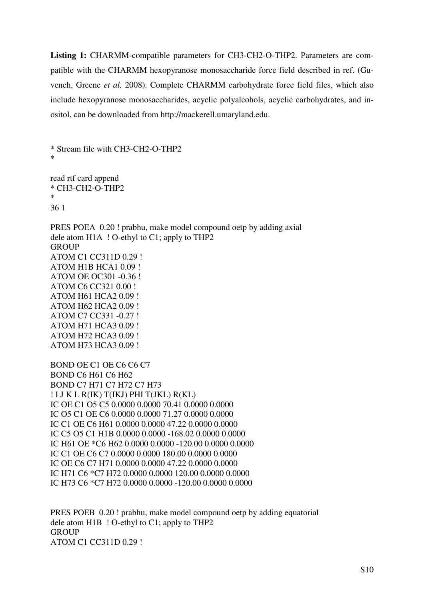**Listing 1:** CHARMM-compatible parameters for CH3-CH2-O-THP2. Parameters are compatible with the CHARMM hexopyranose monosaccharide force field described in ref. (Guvench, Greene *et al.* 2008). Complete CHARMM carbohydrate force field files, which also include hexopyranose monosaccharides, acyclic polyalcohols, acyclic carbohydrates, and inositol, can be downloaded from http://mackerell.umaryland.edu.

\* Stream file with CH3-CH2-O-THP2 \*

read rtf card append \* CH3-CH2-O-THP2 \* 36 1

PRES POEA 0.20 ! prabhu, make model compound oetp by adding axial dele atom H1A ! O-ethyl to C1; apply to THP2 **GROUP** ATOM C1 CC311D 0.29 ! ATOM H1B HCA1 0.09 ! ATOM OE OC301 -0.36 ! ATOM C6 CC321 0.00 ! ATOM H61 HCA2 0.09 ! ATOM H62 HCA2 0.09 ! ATOM C7 CC331 -0.27 ! ATOM H71 HCA3 0.09 ! ATOM H72 HCA3 0.09 ! ATOM H73 HCA3 0.09 !

BOND OE C1 OE C6 C6 C7 BOND C6 H61 C6 H62 BOND C7 H71 C7 H72 C7 H73 ! I J K L R(IK) T(IKJ) PHI T(JKL) R(KL) IC OE C1 O5 C5 0.0000 0.0000 70.41 0.0000 0.0000 IC O5 C1 OE C6 0.0000 0.0000 71.27 0.0000 0.0000 IC C1 OE C6 H61 0.0000 0.0000 47.22 0.0000 0.0000 IC C5 O5 C1 H1B 0.0000 0.0000 -168.02 0.0000 0.0000 IC H61 OE \*C6 H62 0.0000 0.0000 -120.00 0.0000 0.0000 IC C1 OE C6 C7 0.0000 0.0000 180.00 0.0000 0.0000 IC OE C6 C7 H71 0.0000 0.0000 47.22 0.0000 0.0000 IC H71 C6 \*C7 H72 0.0000 0.0000 120.00 0.0000 0.0000 IC H73 C6 \*C7 H72 0.0000 0.0000 -120.00 0.0000 0.0000

PRES POEB 0.20 ! prabhu, make model compound oetp by adding equatorial dele atom H1B ! O-ethyl to C1; apply to THP2 **GROUP** ATOM C1 CC311D 0.29 !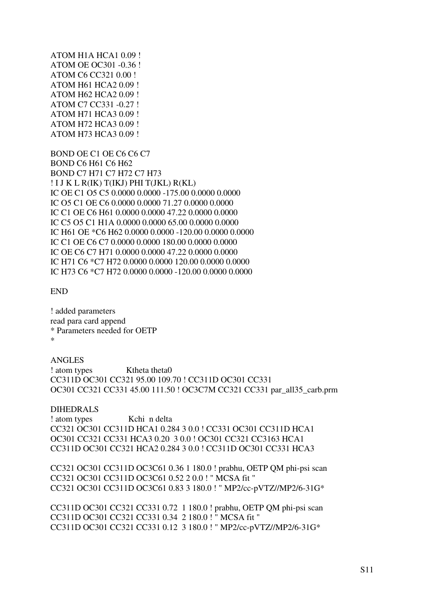ATOM H1A HCA1 0.09 ! ATOM OE OC301 -0.36 ! ATOM C6 CC321 0.00 ! ATOM H61 HCA2 0.09 ! ATOM H62 HCA2 0.09 ! ATOM C7 CC331 -0.27 ! ATOM H71 HCA3 0.09 ! ATOM H72 HCA3 0.09 ! ATOM H73 HCA3 0.09 !

BOND OE C1 OE C6 C6 C7 BOND C6 H61 C6 H62 BOND C7 H71 C7 H72 C7 H73 ! I J K L R(IK) T(IKJ) PHI T(JKL) R(KL) IC OE C1 O5 C5 0.0000 0.0000 -175.00 0.0000 0.0000 IC O5 C1 OE C6 0.0000 0.0000 71.27 0.0000 0.0000 IC C1 OE C6 H61 0.0000 0.0000 47.22 0.0000 0.0000 IC C5 O5 C1 H1A 0.0000 0.0000 65.00 0.0000 0.0000 IC H61 OE \*C6 H62 0.0000 0.0000 -120.00 0.0000 0.0000 IC C1 OE C6 C7 0.0000 0.0000 180.00 0.0000 0.0000 IC OE C6 C7 H71 0.0000 0.0000 47.22 0.0000 0.0000 IC H71 C6 \*C7 H72 0.0000 0.0000 120.00 0.0000 0.0000 IC H73 C6 \*C7 H72 0.0000 0.0000 -120.00 0.0000 0.0000

END

! added parameters read para card append \* Parameters needed for OETP \*

## ANGLES

! atom types Ktheta theta0 CC311D OC301 CC321 95.00 109.70 ! CC311D OC301 CC331 OC301 CC321 CC331 45.00 111.50 ! OC3C7M CC321 CC331 par\_all35\_carb.prm

## DIHEDRALS

! atom types Kchi n delta CC321 OC301 CC311D HCA1 0.284 3 0.0 ! CC331 OC301 CC311D HCA1 OC301 CC321 CC331 HCA3 0.20 3 0.0 ! OC301 CC321 CC3163 HCA1 CC311D OC301 CC321 HCA2 0.284 3 0.0 ! CC311D OC301 CC331 HCA3

CC321 OC301 CC311D OC3C61 0.36 1 180.0 ! prabhu, OETP QM phi-psi scan CC321 OC301 CC311D OC3C61 0.52 2 0.0 ! " MCSA fit " CC321 OC301 CC311D OC3C61 0.83 3 180.0 ! " MP2/cc-pVTZ//MP2/6-31G\*

CC311D OC301 CC321 CC331 0.72 1 180.0 ! prabhu, OETP QM phi-psi scan CC311D OC301 CC321 CC331 0.34 2 180.0 ! " MCSA fit " CC311D OC301 CC321 CC331 0.12 3 180.0 ! " MP2/cc-pVTZ//MP2/6-31G\*